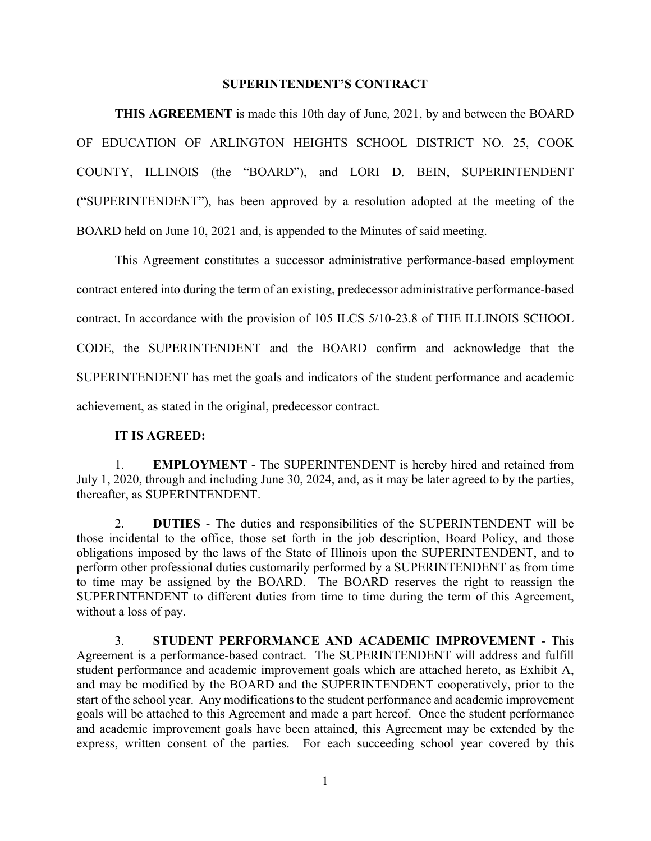### **SUPERINTENDENT'S CONTRACT**

**THIS AGREEMENT** is made this 10th day of June, 2021, by and between the BOARD OF EDUCATION OF ARLINGTON HEIGHTS SCHOOL DISTRICT NO. 25, COOK COUNTY, ILLINOIS (the "BOARD"), and LORI D. BEIN, SUPERINTENDENT ("SUPERINTENDENT"), has been approved by a resolution adopted at the meeting of the BOARD held on June 10, 2021 and, is appended to the Minutes of said meeting.

This Agreement constitutes a successor administrative performance-based employment contract entered into during the term of an existing, predecessor administrative performance-based contract. In accordance with the provision of 105 ILCS 5/10-23.8 of THE ILLINOIS SCHOOL CODE, the SUPERINTENDENT and the BOARD confirm and acknowledge that the SUPERINTENDENT has met the goals and indicators of the student performance and academic achievement, as stated in the original, predecessor contract.

### **IT IS AGREED:**

1. **EMPLOYMENT** - The SUPERINTENDENT is hereby hired and retained from July 1, 2020, through and including June 30, 2024, and, as it may be later agreed to by the parties, thereafter, as SUPERINTENDENT.

2. **DUTIES** - The duties and responsibilities of the SUPERINTENDENT will be those incidental to the office, those set forth in the job description, Board Policy, and those obligations imposed by the laws of the State of Illinois upon the SUPERINTENDENT, and to perform other professional duties customarily performed by a SUPERINTENDENT as from time to time may be assigned by the BOARD. The BOARD reserves the right to reassign the SUPERINTENDENT to different duties from time to time during the term of this Agreement, without a loss of pay.

3. **STUDENT PERFORMANCE AND ACADEMIC IMPROVEMENT** - This Agreement is a performance-based contract. The SUPERINTENDENT will address and fulfill student performance and academic improvement goals which are attached hereto, as Exhibit A, and may be modified by the BOARD and the SUPERINTENDENT cooperatively, prior to the start of the school year. Any modifications to the student performance and academic improvement goals will be attached to this Agreement and made a part hereof. Once the student performance and academic improvement goals have been attained, this Agreement may be extended by the express, written consent of the parties. For each succeeding school year covered by this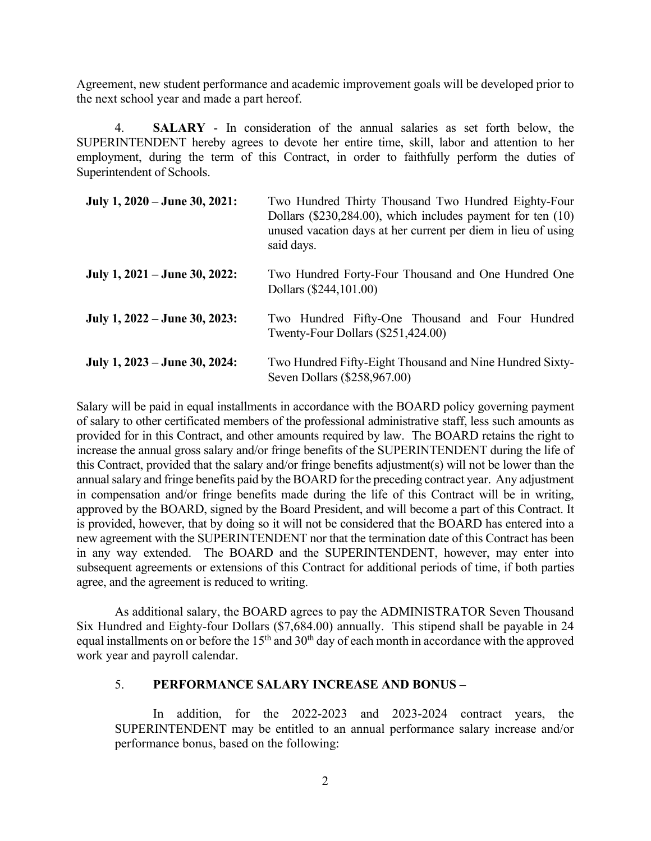Agreement, new student performance and academic improvement goals will be developed prior to the next school year and made a part hereof.

4. **SALARY** - In consideration of the annual salaries as set forth below, the SUPERINTENDENT hereby agrees to devote her entire time, skill, labor and attention to her employment, during the term of this Contract, in order to faithfully perform the duties of Superintendent of Schools.

| July 1, 2020 – June 30, 2021: | Two Hundred Thirty Thousand Two Hundred Eighty-Four<br>Dollars (\$230,284.00), which includes payment for ten (10)<br>unused vacation days at her current per diem in lieu of using<br>said days. |
|-------------------------------|---------------------------------------------------------------------------------------------------------------------------------------------------------------------------------------------------|
| July 1, 2021 – June 30, 2022: | Two Hundred Forty-Four Thousand and One Hundred One<br>Dollars (\$244,101.00)                                                                                                                     |
| July 1, 2022 – June 30, 2023: | Two Hundred Fifty-One Thousand and Four Hundred<br>Twenty-Four Dollars $(\$251,424.00)$                                                                                                           |
| July 1, 2023 – June 30, 2024: | Two Hundred Fifty-Eight Thousand and Nine Hundred Sixty-<br>Seven Dollars (\$258,967.00)                                                                                                          |

Salary will be paid in equal installments in accordance with the BOARD policy governing payment of salary to other certificated members of the professional administrative staff, less such amounts as provided for in this Contract, and other amounts required by law. The BOARD retains the right to increase the annual gross salary and/or fringe benefits of the SUPERINTENDENT during the life of this Contract, provided that the salary and/or fringe benefits adjustment(s) will not be lower than the annual salary and fringe benefits paid by the BOARD for the preceding contract year. Any adjustment in compensation and/or fringe benefits made during the life of this Contract will be in writing, approved by the BOARD, signed by the Board President, and will become a part of this Contract. It is provided, however, that by doing so it will not be considered that the BOARD has entered into a new agreement with the SUPERINTENDENT nor that the termination date of this Contract has been in any way extended. The BOARD and the SUPERINTENDENT, however, may enter into subsequent agreements or extensions of this Contract for additional periods of time, if both parties agree, and the agreement is reduced to writing.

As additional salary, the BOARD agrees to pay the ADMINISTRATOR Seven Thousand Six Hundred and Eighty-four Dollars (\$7,684.00) annually. This stipend shall be payable in 24 equal installments on or before the 15<sup>th</sup> and 30<sup>th</sup> day of each month in accordance with the approved work year and payroll calendar.

## 5. **PERFORMANCE SALARY INCREASE AND BONUS –**

In addition, for the 2022-2023 and 2023-2024 contract years, the SUPERINTENDENT may be entitled to an annual performance salary increase and/or performance bonus, based on the following: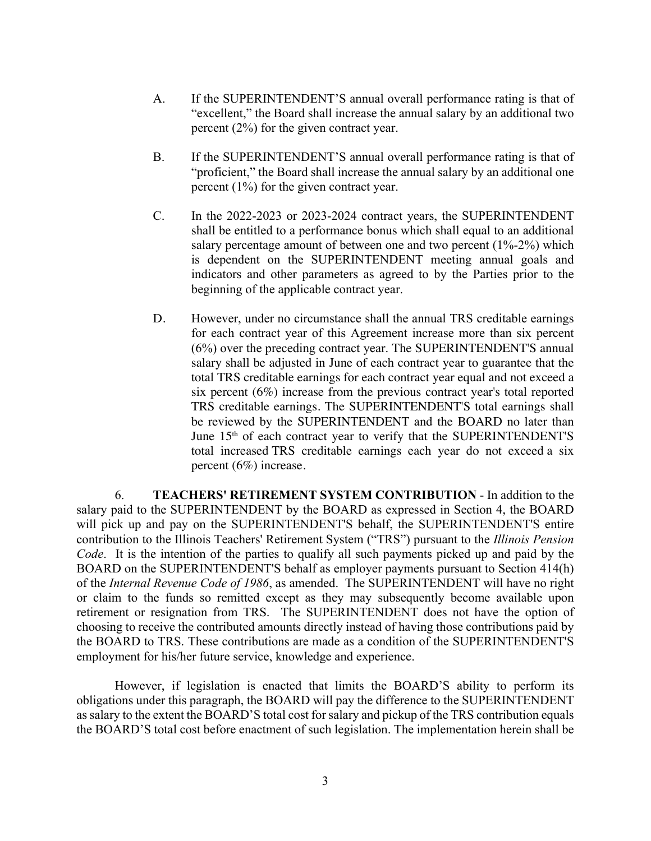- A. If the SUPERINTENDENT'S annual overall performance rating is that of "excellent," the Board shall increase the annual salary by an additional two percent (2%) for the given contract year.
- B. If the SUPERINTENDENT'S annual overall performance rating is that of "proficient," the Board shall increase the annual salary by an additional one percent (1%) for the given contract year.
- C. In the 2022-2023 or 2023-2024 contract years, the SUPERINTENDENT shall be entitled to a performance bonus which shall equal to an additional salary percentage amount of between one and two percent (1%-2%) which is dependent on the SUPERINTENDENT meeting annual goals and indicators and other parameters as agreed to by the Parties prior to the beginning of the applicable contract year.
- D. However, under no circumstance shall the annual TRS creditable earnings for each contract year of this Agreement increase more than six percent (6%) over the preceding contract year. The SUPERINTENDENT'S annual salary shall be adjusted in June of each contract year to guarantee that the total TRS creditable earnings for each contract year equal and not exceed a six percent (6%) increase from the previous contract year's total reported TRS creditable earnings. The SUPERINTENDENT'S total earnings shall be reviewed by the SUPERINTENDENT and the BOARD no later than June 15<sup>th</sup> of each contract year to verify that the SUPERINTENDENT'S total increased TRS creditable earnings each year do not exceed a six percent (6%) increase.

6. **TEACHERS' RETIREMENT SYSTEM CONTRIBUTION** - In addition to the salary paid to the SUPERINTENDENT by the BOARD as expressed in Section 4, the BOARD will pick up and pay on the SUPERINTENDENT'S behalf, the SUPERINTENDENT'S entire contribution to the Illinois Teachers' Retirement System ("TRS") pursuant to the *Illinois Pension Code*. It is the intention of the parties to qualify all such payments picked up and paid by the BOARD on the SUPERINTENDENT'S behalf as employer payments pursuant to Section 414(h) of the *Internal Revenue Code of 1986*, as amended. The SUPERINTENDENT will have no right or claim to the funds so remitted except as they may subsequently become available upon retirement or resignation from TRS. The SUPERINTENDENT does not have the option of choosing to receive the contributed amounts directly instead of having those contributions paid by the BOARD to TRS. These contributions are made as a condition of the SUPERINTENDENT'S employment for his/her future service, knowledge and experience.

However, if legislation is enacted that limits the BOARD'S ability to perform its obligations under this paragraph, the BOARD will pay the difference to the SUPERINTENDENT as salary to the extent the BOARD'S total cost for salary and pickup of the TRS contribution equals the BOARD'S total cost before enactment of such legislation. The implementation herein shall be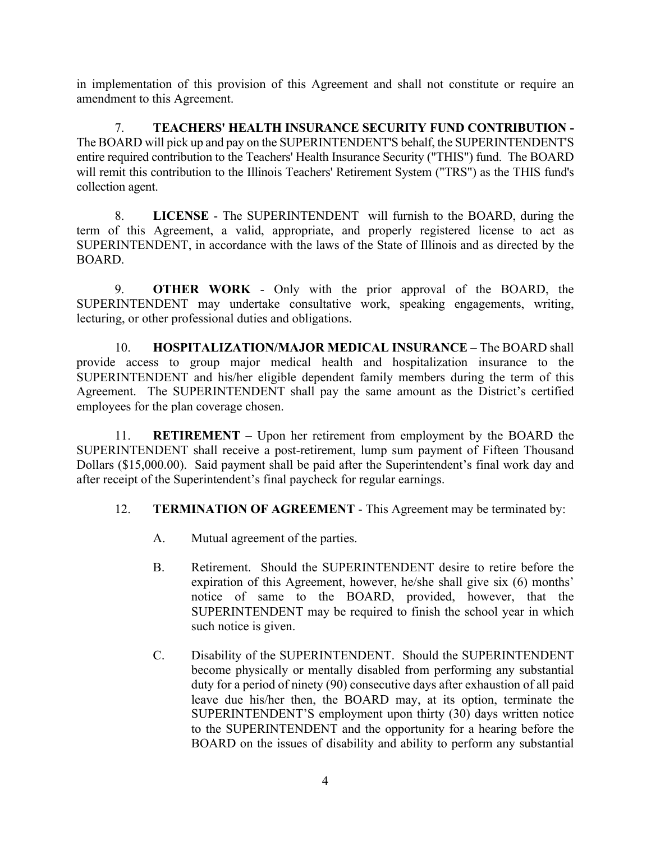in implementation of this provision of this Agreement and shall not constitute or require an amendment to this Agreement.

7. **TEACHERS' HEALTH INSURANCE SECURITY FUND CONTRIBUTION -**  The BOARD will pick up and pay on the SUPERINTENDENT'S behalf, the SUPERINTENDENT'S entire required contribution to the Teachers' Health Insurance Security ("THIS") fund. The BOARD will remit this contribution to the Illinois Teachers' Retirement System ("TRS") as the THIS fund's collection agent.

8. **LICENSE** - The SUPERINTENDENT will furnish to the BOARD, during the term of this Agreement, a valid, appropriate, and properly registered license to act as SUPERINTENDENT, in accordance with the laws of the State of Illinois and as directed by the BOARD.

9. **OTHER WORK** - Only with the prior approval of the BOARD, the SUPERINTENDENT may undertake consultative work, speaking engagements, writing, lecturing, or other professional duties and obligations.

10. **HOSPITALIZATION/MAJOR MEDICAL INSURANCE** – The BOARD shall provide access to group major medical health and hospitalization insurance to the SUPERINTENDENT and his/her eligible dependent family members during the term of this Agreement. The SUPERINTENDENT shall pay the same amount as the District's certified employees for the plan coverage chosen.

11. **RETIREMENT** – Upon her retirement from employment by the BOARD the SUPERINTENDENT shall receive a post-retirement, lump sum payment of Fifteen Thousand Dollars (\$15,000.00). Said payment shall be paid after the Superintendent's final work day and after receipt of the Superintendent's final paycheck for regular earnings.

## 12. **TERMINATION OF AGREEMENT** - This Agreement may be terminated by:

- A. Mutual agreement of the parties.
- B. Retirement. Should the SUPERINTENDENT desire to retire before the expiration of this Agreement, however, he/she shall give six (6) months' notice of same to the BOARD, provided, however, that the SUPERINTENDENT may be required to finish the school year in which such notice is given.
- C. Disability of the SUPERINTENDENT. Should the SUPERINTENDENT become physically or mentally disabled from performing any substantial duty for a period of ninety (90) consecutive days after exhaustion of all paid leave due his/her then, the BOARD may, at its option, terminate the SUPERINTENDENT'S employment upon thirty (30) days written notice to the SUPERINTENDENT and the opportunity for a hearing before the BOARD on the issues of disability and ability to perform any substantial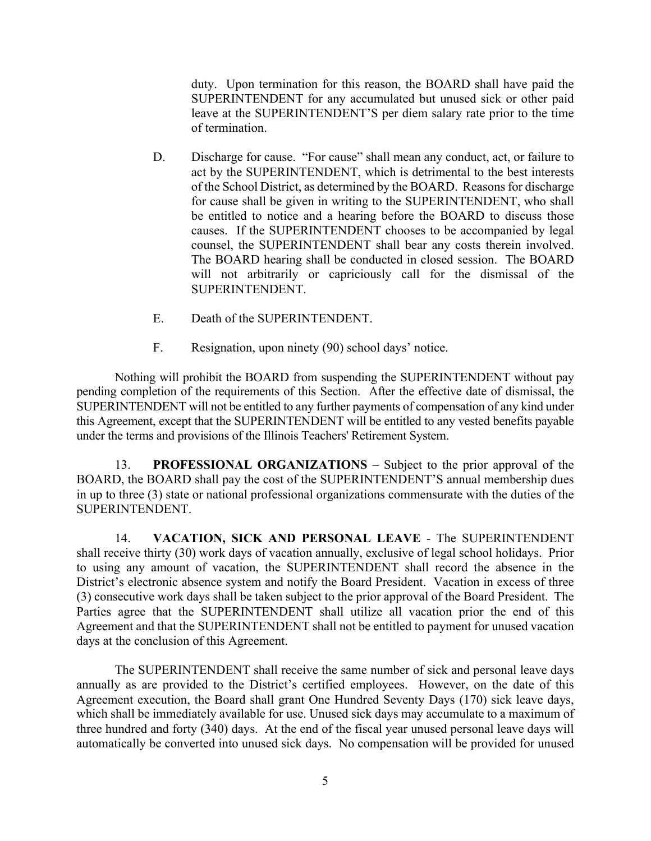duty. Upon termination for this reason, the BOARD shall have paid the SUPERINTENDENT for any accumulated but unused sick or other paid leave at the SUPERINTENDENT'S per diem salary rate prior to the time of termination.

- D. Discharge for cause. "For cause" shall mean any conduct, act, or failure to act by the SUPERINTENDENT, which is detrimental to the best interests of the School District, as determined by the BOARD. Reasons for discharge for cause shall be given in writing to the SUPERINTENDENT, who shall be entitled to notice and a hearing before the BOARD to discuss those causes. If the SUPERINTENDENT chooses to be accompanied by legal counsel, the SUPERINTENDENT shall bear any costs therein involved. The BOARD hearing shall be conducted in closed session. The BOARD will not arbitrarily or capriciously call for the dismissal of the SUPERINTENDENT.
- E. Death of the SUPERINTENDENT.
- F. Resignation, upon ninety (90) school days' notice.

Nothing will prohibit the BOARD from suspending the SUPERINTENDENT without pay pending completion of the requirements of this Section. After the effective date of dismissal, the SUPERINTENDENT will not be entitled to any further payments of compensation of any kind under this Agreement, except that the SUPERINTENDENT will be entitled to any vested benefits payable under the terms and provisions of the Illinois Teachers' Retirement System.

13. **PROFESSIONAL ORGANIZATIONS** – Subject to the prior approval of the BOARD, the BOARD shall pay the cost of the SUPERINTENDENT'S annual membership dues in up to three (3) state or national professional organizations commensurate with the duties of the SUPERINTENDENT.

14. **VACATION, SICK AND PERSONAL LEAVE** - The SUPERINTENDENT shall receive thirty (30) work days of vacation annually, exclusive of legal school holidays. Prior to using any amount of vacation, the SUPERINTENDENT shall record the absence in the District's electronic absence system and notify the Board President. Vacation in excess of three (3) consecutive work days shall be taken subject to the prior approval of the Board President. The Parties agree that the SUPERINTENDENT shall utilize all vacation prior the end of this Agreement and that the SUPERINTENDENT shall not be entitled to payment for unused vacation days at the conclusion of this Agreement.

The SUPERINTENDENT shall receive the same number of sick and personal leave days annually as are provided to the District's certified employees. However, on the date of this Agreement execution, the Board shall grant One Hundred Seventy Days (170) sick leave days, which shall be immediately available for use. Unused sick days may accumulate to a maximum of three hundred and forty (340) days. At the end of the fiscal year unused personal leave days will automatically be converted into unused sick days. No compensation will be provided for unused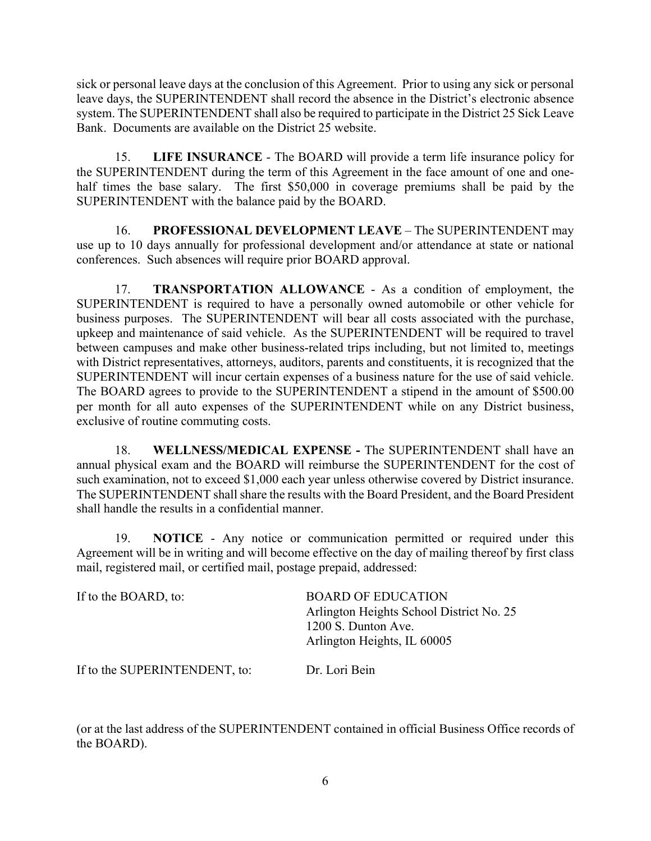sick or personal leave days at the conclusion of this Agreement. Prior to using any sick or personal leave days, the SUPERINTENDENT shall record the absence in the District's electronic absence system. The SUPERINTENDENT shall also be required to participate in the District 25 Sick Leave Bank. Documents are available on the District 25 website.

15. **LIFE INSURANCE** - The BOARD will provide a term life insurance policy for the SUPERINTENDENT during the term of this Agreement in the face amount of one and onehalf times the base salary. The first \$50,000 in coverage premiums shall be paid by the SUPERINTENDENT with the balance paid by the BOARD.

16. **PROFESSIONAL DEVELOPMENT LEAVE** – The SUPERINTENDENT may use up to 10 days annually for professional development and/or attendance at state or national conferences. Such absences will require prior BOARD approval.

17. **TRANSPORTATION ALLOWANCE** - As a condition of employment, the SUPERINTENDENT is required to have a personally owned automobile or other vehicle for business purposes. The SUPERINTENDENT will bear all costs associated with the purchase, upkeep and maintenance of said vehicle. As the SUPERINTENDENT will be required to travel between campuses and make other business-related trips including, but not limited to, meetings with District representatives, attorneys, auditors, parents and constituents, it is recognized that the SUPERINTENDENT will incur certain expenses of a business nature for the use of said vehicle. The BOARD agrees to provide to the SUPERINTENDENT a stipend in the amount of \$500.00 per month for all auto expenses of the SUPERINTENDENT while on any District business, exclusive of routine commuting costs.

18. **WELLNESS/MEDICAL EXPENSE -** The SUPERINTENDENT shall have an annual physical exam and the BOARD will reimburse the SUPERINTENDENT for the cost of such examination, not to exceed \$1,000 each year unless otherwise covered by District insurance. The SUPERINTENDENT shall share the results with the Board President, and the Board President shall handle the results in a confidential manner.

19. **NOTICE** - Any notice or communication permitted or required under this Agreement will be in writing and will become effective on the day of mailing thereof by first class mail, registered mail, or certified mail, postage prepaid, addressed:

| If to the BOARD, to:          | <b>BOARD OF EDUCATION</b><br>Arlington Heights School District No. 25<br>1200 S. Dunton Ave.<br>Arlington Heights, IL 60005 |
|-------------------------------|-----------------------------------------------------------------------------------------------------------------------------|
| If to the SUPERINTENDENT, to: | Dr. Lori Bein                                                                                                               |

(or at the last address of the SUPERINTENDENT contained in official Business Office records of the BOARD).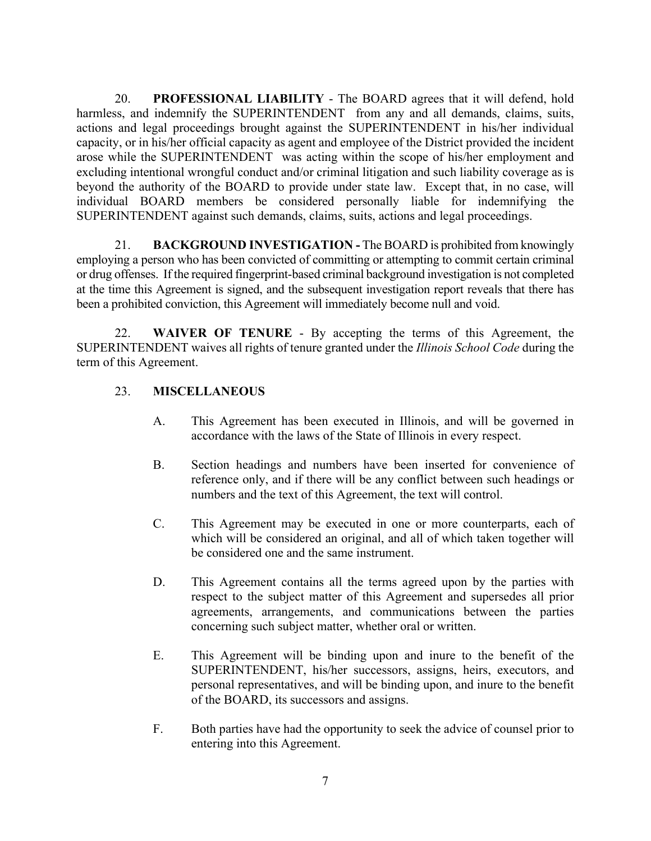20. **PROFESSIONAL LIABILITY** - The BOARD agrees that it will defend, hold harmless, and indemnify the SUPERINTENDENT from any and all demands, claims, suits, actions and legal proceedings brought against the SUPERINTENDENT in his/her individual capacity, or in his/her official capacity as agent and employee of the District provided the incident arose while the SUPERINTENDENT was acting within the scope of his/her employment and excluding intentional wrongful conduct and/or criminal litigation and such liability coverage as is beyond the authority of the BOARD to provide under state law. Except that, in no case, will individual BOARD members be considered personally liable for indemnifying the SUPERINTENDENT against such demands, claims, suits, actions and legal proceedings.

21. **BACKGROUND INVESTIGATION -** The BOARD is prohibited from knowingly employing a person who has been convicted of committing or attempting to commit certain criminal or drug offenses. If the required fingerprint-based criminal background investigation is not completed at the time this Agreement is signed, and the subsequent investigation report reveals that there has been a prohibited conviction, this Agreement will immediately become null and void.

22. **WAIVER OF TENURE** - By accepting the terms of this Agreement, the SUPERINTENDENT waives all rights of tenure granted under the *Illinois School Code* during the term of this Agreement.

# 23. **MISCELLANEOUS**

- A. This Agreement has been executed in Illinois, and will be governed in accordance with the laws of the State of Illinois in every respect.
- B. Section headings and numbers have been inserted for convenience of reference only, and if there will be any conflict between such headings or numbers and the text of this Agreement, the text will control.
- C. This Agreement may be executed in one or more counterparts, each of which will be considered an original, and all of which taken together will be considered one and the same instrument.
- D. This Agreement contains all the terms agreed upon by the parties with respect to the subject matter of this Agreement and supersedes all prior agreements, arrangements, and communications between the parties concerning such subject matter, whether oral or written.
- E. This Agreement will be binding upon and inure to the benefit of the SUPERINTENDENT, his/her successors, assigns, heirs, executors, and personal representatives, and will be binding upon, and inure to the benefit of the BOARD, its successors and assigns.
- F. Both parties have had the opportunity to seek the advice of counsel prior to entering into this Agreement.